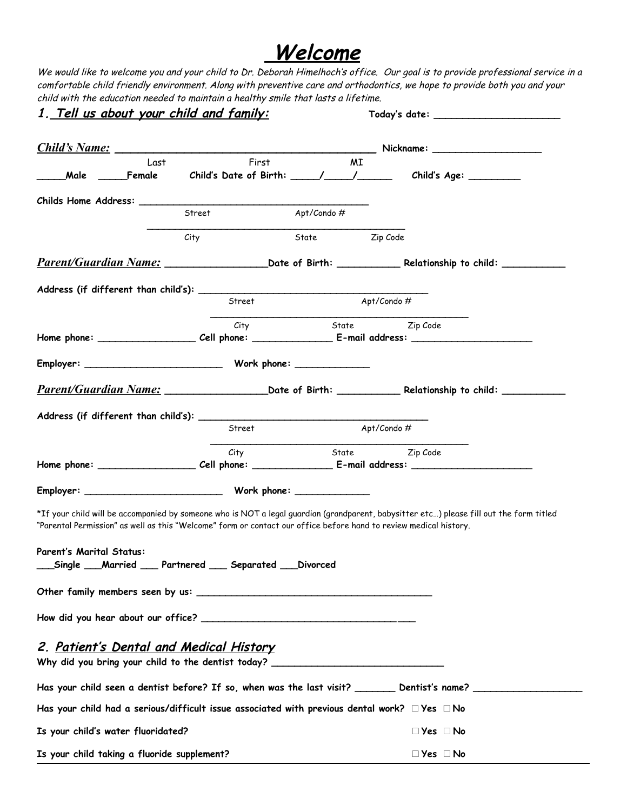## **Welcome**

We would like to welcome you and your child to Dr. Deborah Himelhoch's office. Our goal is to provide professional service in a comfortable child friendly environment. Along with preventive care and orthodontics, we hope to provide both you and your child with the education needed to maintain a healthy smile that lasts a lifetime.

| <u>1. Tell us about your child and family:</u>                                                                                                                                    |                        |                 |                                                                                                                                         |  |  |  |
|-----------------------------------------------------------------------------------------------------------------------------------------------------------------------------------|------------------------|-----------------|-----------------------------------------------------------------------------------------------------------------------------------------|--|--|--|
|                                                                                                                                                                                   |                        |                 |                                                                                                                                         |  |  |  |
| Last<br>____Male _______Female                                                                                                                                                    | First                  | ΜI              | Child's Date of Birth: ____/____/_____/ Child's Age: ________                                                                           |  |  |  |
|                                                                                                                                                                                   |                        |                 |                                                                                                                                         |  |  |  |
|                                                                                                                                                                                   | Street                 | Apt/Condo #     |                                                                                                                                         |  |  |  |
|                                                                                                                                                                                   | City                   | State Zip Code  |                                                                                                                                         |  |  |  |
|                                                                                                                                                                                   |                        |                 |                                                                                                                                         |  |  |  |
|                                                                                                                                                                                   |                        |                 |                                                                                                                                         |  |  |  |
|                                                                                                                                                                                   |                        |                 |                                                                                                                                         |  |  |  |
|                                                                                                                                                                                   | Street                 |                 | Apt/Condo#                                                                                                                              |  |  |  |
|                                                                                                                                                                                   | City                   |                 | State Zip Code                                                                                                                          |  |  |  |
|                                                                                                                                                                                   |                        |                 |                                                                                                                                         |  |  |  |
|                                                                                                                                                                                   |                        |                 |                                                                                                                                         |  |  |  |
|                                                                                                                                                                                   |                        |                 |                                                                                                                                         |  |  |  |
|                                                                                                                                                                                   |                        |                 |                                                                                                                                         |  |  |  |
|                                                                                                                                                                                   | Street                 |                 | Apt/Condo#                                                                                                                              |  |  |  |
|                                                                                                                                                                                   | City                   |                 | State Zip Code                                                                                                                          |  |  |  |
|                                                                                                                                                                                   |                        |                 |                                                                                                                                         |  |  |  |
|                                                                                                                                                                                   |                        |                 |                                                                                                                                         |  |  |  |
| "Parental Permission" as well as this "Welcome" form or contact our office before hand to review medical history.<br><b>Parent's Marital Status:</b><br>Single $\_\_$<br>_Married | Partnered<br>Separated | <b>Divorced</b> | *If your child will be accompanied by someone who is NOT a legal guardian (grandparent, babysitter etc) please fill out the form titled |  |  |  |
|                                                                                                                                                                                   |                        |                 |                                                                                                                                         |  |  |  |
|                                                                                                                                                                                   |                        |                 |                                                                                                                                         |  |  |  |
| 2. <u>Patient's Dental and Medical History</u><br>Why did you bring your child to the dentist today? _____________________________                                                |                        |                 |                                                                                                                                         |  |  |  |
|                                                                                                                                                                                   |                        |                 | Has your child seen a dentist before? If so, when was the last visit? _________ Dentist's name? _______________                         |  |  |  |
| Has your child had a serious/difficult issue associated with previous dental work? $\Box$ Yes $\Box$ No                                                                           |                        |                 |                                                                                                                                         |  |  |  |
| Is your child's water fluoridated?                                                                                                                                                |                        |                 |                                                                                                                                         |  |  |  |
|                                                                                                                                                                                   |                        |                 | $\Box$ Yes $\Box$ No                                                                                                                    |  |  |  |